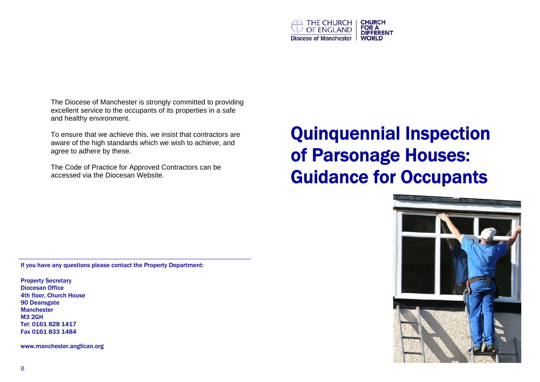

The Diocese of Manchester is strongly committed to providing excellent service to the occupants of its properties in a safe and healthy environment.

To ensure that we achieve this, we insist that contractors are aware of the high standards which we wish to achieve, and agree to adhere by these.

The Code of Practice for Approved Contractors can be accessed via the Diocesan Website.

# Quinquennial Inspection of Parsonage Houses: Guidance for Occupants



If you have any questions please contact the Property Department:

Property Secretary Diocesan Office 4th floor, Church House 90 Deansgate Manchester M3 2GH Tel: 0161 828 1417 Fax 0161 833 1484

www.manchester.anglican.org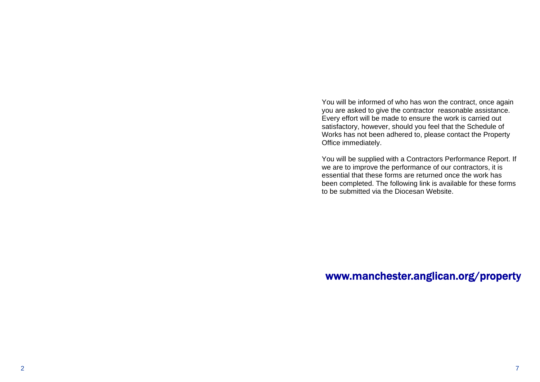You will be informed of who has won the contract, once again you are asked to give the contractor reasonable assistance. Every effort will be made to ensure the work is carried out satisfactory, however, should you feel that the Schedule of Works has not been adhered to, please contact the Property Office immediately.

You will be supplied with a Contractors Performance Report. If we are to improve the performance of our contractors, it is essential that these forms are returned once the work has been completed. The following link is available for these forms to be submitted via the Diocesan Website.

## www.manchester.anglican.org/property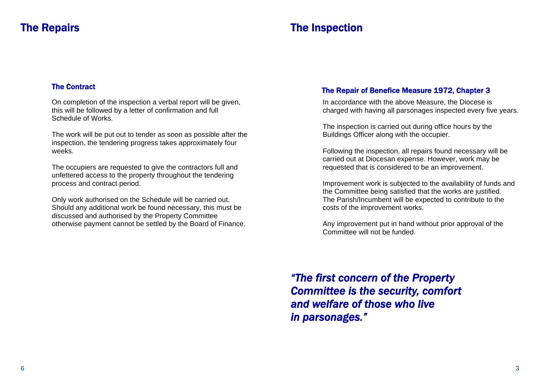## The Repairs

# The Inspection

#### The Contract

On completion of the inspection a verbal report will be given, this will be followed by a letter of confirmation and full Schedule of Works.

The work will be put out to tender as soon as possible after the inspection, the tendering progress takes approximately four weeks.

The occupiers are requested to give the contractors full and unfettered access to the property throughout the tendering process and contract period.

Only work authorised on the Schedule will be carried out. Should any additional work be found necessary, this must be discussed and authorised by the Property Committee otherwise payment cannot be settled by the Board of Finance.

#### The Repair of Benefice Measure 1972, Chapter 3

In accordance with the above Measure, the Diocese is charged with having all parsonages inspected every five years.

The inspection is carried out during office hours by the Buildings Officer along with the occupier.

Following the inspection, all repairs found necessary will be carried out at Diocesan expense. However, work may be requested that is considered to be an improvement.

Improvement work is subjected to the availability of funds and the Committee being satisfied that the works are justified. The Parish/Incumbent will be expected to contribute to the costs of the improvement works.

Any improvement put in hand without prior approval of the Committee will not be funded.

*"The first concern of the Property Committee is the security, comfort and welfare of those who live in parsonages."*